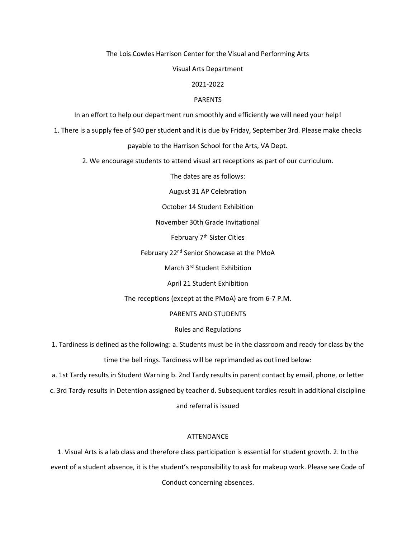The Lois Cowles Harrison Center for the Visual and Performing Arts

Visual Arts Department

# 2021-2022

## PARENTS

In an effort to help our department run smoothly and efficiently we will need your help!

1. There is a supply fee of \$40 per student and it is due by Friday, September 3rd. Please make checks

payable to the Harrison School for the Arts, VA Dept.

2. We encourage students to attend visual art receptions as part of our curriculum.

The dates are as follows:

August 31 AP Celebration

October 14 Student Exhibition

November 30th Grade Invitational

February 7<sup>th</sup> Sister Cities

February 22<sup>nd</sup> Senior Showcase at the PMoA

March 3rd Student Exhibition

April 21 Student Exhibition

The receptions (except at the PMoA) are from 6-7 P.M.

PARENTS AND STUDENTS

# Rules and Regulations

1. Tardiness is defined as the following: a. Students must be in the classroom and ready for class by the time the bell rings. Tardiness will be reprimanded as outlined below:

a. 1st Tardy results in Student Warning b. 2nd Tardy results in parent contact by email, phone, or letter

c. 3rd Tardy results in Detention assigned by teacher d. Subsequent tardies result in additional discipline

and referral is issued

# ATTENDANCE

1. Visual Arts is a lab class and therefore class participation is essential for student growth. 2. In the event of a student absence, it is the student's responsibility to ask for makeup work. Please see Code of Conduct concerning absences.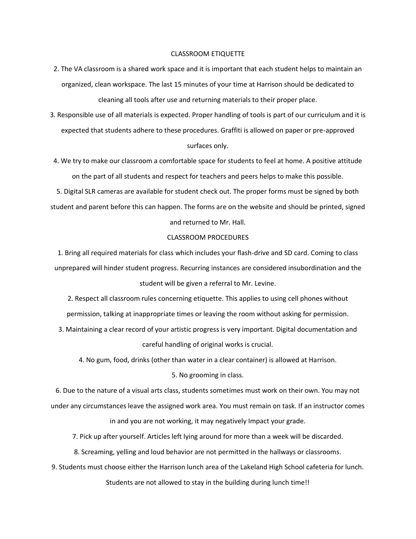#### CLASSROOM ETIQUETTE

- 2. The VA classroom is a shared work space and it is important that each student helps to maintain an organized, clean workspace. The last 15 minutes of your time at Harrison should be dedicated to cleaning all tools after use and returning materials to their proper place.
- 3. Responsible use of all materials is expected. Proper handling of tools is part of our curriculum and it is expected that students adhere to these procedures. Graffiti is allowed on paper or pre-approved surfaces only.
- 4. We try to make our classroom a comfortable space for students to feel at home. A positive attitude on the part of all students and respect for teachers and peers helps to make this possible.

5. Digital SLR cameras are available for student check out. The proper forms must be signed by both student and parent before this can happen. The forms are on the website and should be printed, signed and returned to Mr. Hall.

#### CLASSROOM PROCEDURES

1. Bring all required materials for class which includes your flash-drive and SD card. Coming to class unprepared will hinder student progress. Recurring instances are considered insubordination and the student will be given a referral to Mr. Levine.

2. Respect all classroom rules concerning etiquette. This applies to using cell phones without permission, talking at inappropriate times or leaving the room without asking for permission.

3. Maintaining a clear record of your artistic progress is very important. Digital documentation and careful handling of original works is crucial.

4. No gum, food, drinks (other than water in a clear container) is allowed at Harrison.

#### 5. No grooming in class.

6. Due to the nature of a visual arts class, students sometimes must work on their own. You may not under any circumstances leave the assigned work area. You must remain on task. If an instructor comes in and you are not working, it may negatively Impact your grade.

7. Pick up after yourself. Articles left lying around for more than a week will be discarded.

8. Screaming, yelling and loud behavior are not permitted in the hallways or classrooms.

9. Students must choose either the Harrison lunch area of the Lakeland High School cafeteria for lunch.

Students are not allowed to stay in the building during lunch time!!